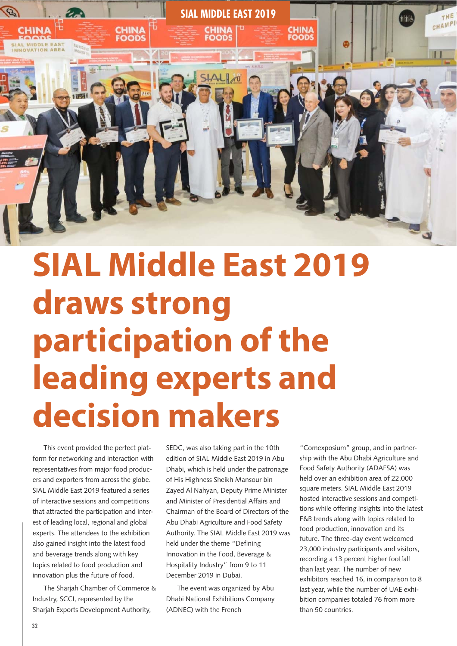

## **SIAL Middle East 2019 draws strong participation of the leading experts and decision makers**

This event provided the perfect platform for networking and interaction with representatives from major food producers and exporters from across the globe. SIAL Middle East 2019 featured a series of interactive sessions and competitions that attracted the participation and interest of leading local, regional and global experts. The attendees to the exhibition also gained insight into the latest food and beverage trends along with key topics related to food production and innovation plus the future of food.

The Sharjah Chamber of Commerce & Industry, SCCI, represented by the Sharjah Exports Development Authority,

SEDC, was also taking part in the 10th edition of SIAL Middle East 2019 in Abu Dhabi, which is held under the patronage of His Highness Sheikh Mansour bin Zayed Al Nahyan, Deputy Prime Minister and Minister of Presidential Affairs and Chairman of the Board of Directors of the Abu Dhabi Agriculture and Food Safety Authority. The SIAL Middle East 2019 was held under the theme "Defining Innovation in the Food, Beverage & Hospitality Industry" from 9 to 11 December 2019 in Dubai.

The event was organized by Abu Dhabi National Exhibitions Company (ADNEC) with the French

"Comexposium" group, and in partnership with the Abu Dhabi Agriculture and Food Safety Authority (ADAFSA) was held over an exhibition area of 22,000 square meters. SIAL Middle East 2019 hosted interactive sessions and competitions while offering insights into the latest F&B trends along with topics related to food production, innovation and its future. The three-day event welcomed 23,000 industry participants and visitors, recording a 13 percent higher footfall than last year. The number of new exhibitors reached 16, in comparison to 8 last year, while the number of UAE exhibition companies totaled 76 from more than 50 countries.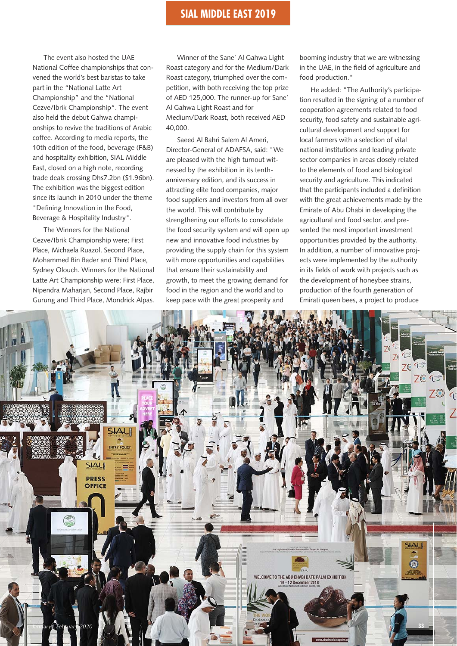## **SIAL MIDDLE EAST 2019 SIAL MIDDLE EAST 2019 Fruit Logistica**

The event also hosted the UAE National Coffee championships that convened the world's best baristas to take part in the "National Latte Art Championship" and the "National Cezve/Ibrik Championship". The event also held the debut Gahwa championships to revive the traditions of Arabic coffee. According to media reports, the 10th edition of the food, beverage (F&B) and hospitality exhibition, SIAL Middle East, closed on a high note, recording trade deals crossing Dhs7.2bn (\$1.96bn). The exhibition was the biggest edition since its launch in 2010 under the theme "Defining Innovation in the Food, Beverage & Hospitality Industry".

The Winners for the National Cezve/Ibrik Championship were; First Place, Michaela Ruazol, Second Place, Mohammed Bin Bader and Third Place, Sydney Olouch. Winners for the National Latte Art Championship were; First Place, Nipendra Maharjan, Second Place, Rajbir Gurung and Third Place, Mondrick Alpas.

Winner of the Sane' Al Gahwa Light Roast category and for the Medium/Dark Roast category, triumphed over the competition, with both receiving the top prize of AED 125,000. The runner-up for Sane' Al Gahwa Light Roast and for Medium/Dark Roast, both received AED 40,000.

Saeed Al Bahri Salem Al Ameri, Director-General of ADAFSA, said: "We are pleased with the high turnout witnessed by the exhibition in its tenthanniversary edition, and its success in attracting elite food companies, major food suppliers and investors from all over the world. This will contribute by strengthening our efforts to consolidate the food security system and will open up new and innovative food industries by providing the supply chain for this system with more opportunities and capabilities that ensure their sustainability and growth, to meet the growing demand for food in the region and the world and to keep pace with the great prosperity and

booming industry that we are witnessing in the UAE, in the field of agriculture and food production."

He added: "The Authority's participation resulted in the signing of a number of cooperation agreements related to food security, food safety and sustainable agricultural development and support for local farmers with a selection of vital national institutions and leading private sector companies in areas closely related to the elements of food and biological security and agriculture. This indicated that the participants included a definition with the great achievements made by the Emirate of Abu Dhabi in developing the agricultural and food sector, and presented the most important investment opportunities provided by the authority. In addition, a number of innovative projects were implemented by the authority in its fields of work with projects such as the development of honeybee strains, production of the fourth generation of Emirati queen bees, a project to produce